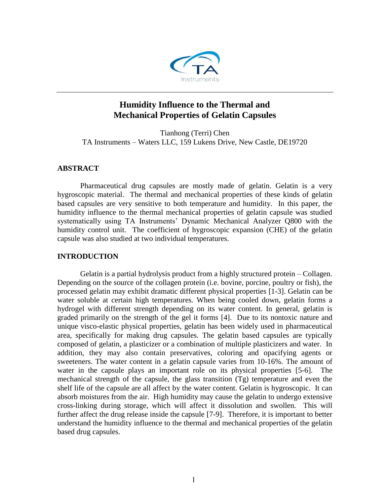

# **Humidity Influence to the Thermal and Mechanical Properties of Gelatin Capsules**

Tianhong (Terri) Chen TA Instruments – Waters LLC, 159 Lukens Drive, New Castle, DE19720

## **ABSTRACT**

Pharmaceutical drug capsules are mostly made of gelatin. Gelatin is a very hygroscopic material. The thermal and mechanical properties of these kinds of gelatin based capsules are very sensitive to both temperature and humidity. In this paper, the humidity influence to the thermal mechanical properties of gelatin capsule was studied systematically using TA Instruments' Dynamic Mechanical Analyzer Q800 with the humidity control unit. The coefficient of hygroscopic expansion (CHE) of the gelatin capsule was also studied at two individual temperatures.

## **INTRODUCTION**

Gelatin is a partial hydrolysis product from a highly structured protein – Collagen. Depending on the source of the collagen protein (i.e. bovine, porcine, poultry or fish), the processed gelatin may exhibit dramatic different physical properties [1-3]. Gelatin can be water soluble at certain high temperatures. When being cooled down, gelatin forms a hydrogel with different strength depending on its water content. In general, gelatin is graded primarily on the strength of the gel it forms [4]. Due to its nontoxic nature and unique visco-elastic physical properties, gelatin has been widely used in pharmaceutical area, specifically for making drug capsules. The gelatin based capsules are typically composed of gelatin, a plasticizer or a combination of multiple plasticizers and water. In addition, they may also contain preservatives, coloring and opacifying agents or sweeteners. The water content in a gelatin capsule varies from 10-16%. The amount of water in the capsule plays an important role on its physical properties [5-6]. The mechanical strength of the capsule, the glass transition (Tg) temperature and even the shelf life of the capsule are all affect by the water content. Gelatin is hygroscopic. It can absorb moistures from the air. High humidity may cause the gelatin to undergo extensive cross-linking during storage, which will affect it dissolution and swollen. This will further affect the drug release inside the capsule [7-9]. Therefore, it is important to better understand the humidity influence to the thermal and mechanical properties of the gelatin based drug capsules.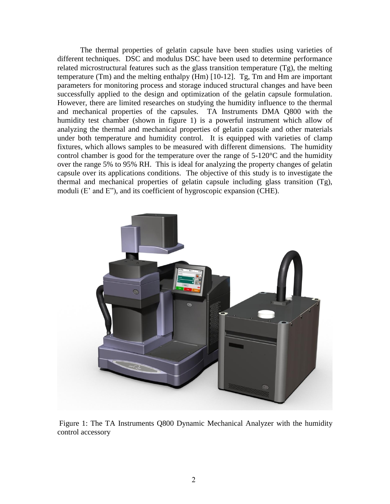The thermal properties of gelatin capsule have been studies using varieties of different techniques. DSC and modulus DSC have been used to determine performance related microstructural features such as the glass transition temperature (Tg), the melting temperature (Tm) and the melting enthalpy (Hm) [10-12]. Tg, Tm and Hm are important parameters for monitoring process and storage induced structural changes and have been successfully applied to the design and optimization of the gelatin capsule formulation. However, there are limited researches on studying the humidity influence to the thermal and mechanical properties of the capsules. TA Instruments DMA Q800 with the humidity test chamber (shown in figure 1) is a powerful instrument which allow of analyzing the thermal and mechanical properties of gelatin capsule and other materials under both temperature and humidity control. It is equipped with varieties of clamp fixtures, which allows samples to be measured with different dimensions. The humidity control chamber is good for the temperature over the range of 5-120°C and the humidity over the range 5% to 95% RH. This is ideal for analyzing the property changes of gelatin capsule over its applications conditions. The objective of this study is to investigate the thermal and mechanical properties of gelatin capsule including glass transition (Tg), moduli (E' and E"), and its coefficient of hygroscopic expansion (CHE).



Figure 1: The TA Instruments Q800 Dynamic Mechanical Analyzer with the humidity control accessory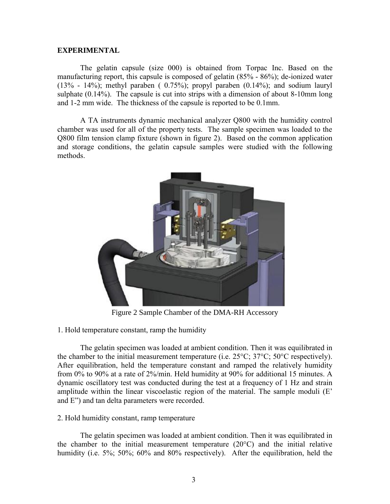#### **EXPERIMENTAL**

The gelatin capsule (size 000) is obtained from Torpac Inc. Based on the manufacturing report, this capsule is composed of gelatin (85% - 86%); de-ionized water  $(13\% - 14\%)$ ; methyl paraben ( 0.75%); propyl paraben  $(0.14\%)$ ; and sodium lauryl sulphate (0.14%). The capsule is cut into strips with a dimension of about 8-10mm long and 1-2 mm wide. The thickness of the capsule is reported to be 0.1mm.

A TA instruments dynamic mechanical analyzer Q800 with the humidity control chamber was used for all of the property tests. The sample specimen was loaded to the Q800 film tension clamp fixture (shown in figure 2). Based on the common application and storage conditions, the gelatin capsule samples were studied with the following methods.



Figure 2 Sample Chamber of the DMA-RH Accessory

1. Hold temperature constant, ramp the humidity

The gelatin specimen was loaded at ambient condition. Then it was equilibrated in the chamber to the initial measurement temperature (i.e.  $25^{\circ}$ C;  $37^{\circ}$ C;  $50^{\circ}$ C respectively). After equilibration, held the temperature constant and ramped the relatively humidity from 0% to 90% at a rate of 2%/min. Held humidity at 90% for additional 15 minutes. A dynamic oscillatory test was conducted during the test at a frequency of 1 Hz and strain amplitude within the linear viscoelastic region of the material. The sample moduli (E' and E") and tan delta parameters were recorded.

## 2. Hold humidity constant, ramp temperature

The gelatin specimen was loaded at ambient condition. Then it was equilibrated in the chamber to the initial measurement temperature (20°C) and the initial relative humidity (i.e. 5%; 50%; 60% and 80% respectively). After the equilibration, held the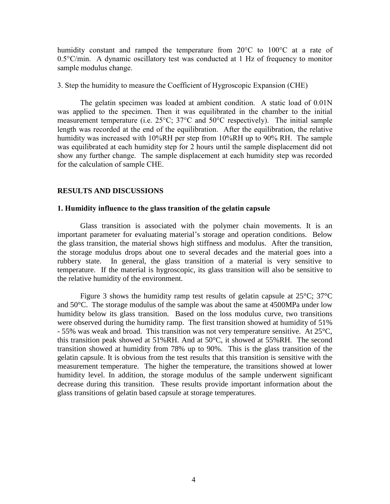humidity constant and ramped the temperature from  $20^{\circ}$ C to  $100^{\circ}$ C at a rate of 0.5°C/min. A dynamic oscillatory test was conducted at 1 Hz of frequency to monitor sample modulus change.

3. Step the humidity to measure the Coefficient of Hygroscopic Expansion (CHE)

The gelatin specimen was loaded at ambient condition. A static load of 0.01N was applied to the specimen. Then it was equilibrated in the chamber to the initial measurement temperature (i.e. 25°C; 37°C and 50°C respectively). The initial sample length was recorded at the end of the equilibration. After the equilibration, the relative humidity was increased with 10%RH per step from 10%RH up to 90% RH. The sample was equilibrated at each humidity step for 2 hours until the sample displacement did not show any further change. The sample displacement at each humidity step was recorded for the calculation of sample CHE.

## **RESULTS AND DISCUSSIONS**

#### **1. Humidity influence to the glass transition of the gelatin capsule**

Glass transition is associated with the polymer chain movements. It is an important parameter for evaluating material's storage and operation conditions. Below the glass transition, the material shows high stiffness and modulus. After the transition, the storage modulus drops about one to several decades and the material goes into a rubbery state. In general, the glass transition of a material is very sensitive to temperature. If the material is hygroscopic, its glass transition will also be sensitive to the relative humidity of the environment.

Figure 3 shows the humidity ramp test results of gelatin capsule at  $25^{\circ}$ C;  $37^{\circ}$ C and 50°C. The storage modulus of the sample was about the same at 4500MPa under low humidity below its glass transition. Based on the loss modulus curve, two transitions were observed during the humidity ramp. The first transition showed at humidity of 51% - 55% was weak and broad. This transition was not very temperature sensitive. At 25°C, this transition peak showed at 51%RH. And at 50°C, it showed at 55%RH. The second transition showed at humidity from 78% up to 90%. This is the glass transition of the gelatin capsule. It is obvious from the test results that this transition is sensitive with the measurement temperature. The higher the temperature, the transitions showed at lower humidity level. In addition, the storage modulus of the sample underwent significant decrease during this transition. These results provide important information about the glass transitions of gelatin based capsule at storage temperatures.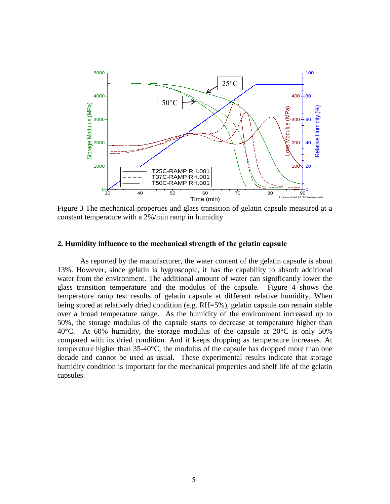

Figure 3 The mechanical properties and glass transition of gelatin capsule measured at a constant temperature with a 2%/min ramp in humidity

#### **2. Humidity influence to the mechanical strength of the gelatin capsule**

As reported by the manufacturer, the water content of the gelatin capsule is about 13%. However, since gelatin is hygroscopic, it has the capability to absorb additional water from the environment. The additional amount of water can significantly lower the glass transition temperature and the modulus of the capsule. Figure 4 shows the temperature ramp test results of gelatin capsule at different relative humidity. When being stored at relatively dried condition (e.g. RH=5%), gelatin capsule can remain stable over a broad temperature range. As the humidity of the environment increased up to 50%, the storage modulus of the capsule starts to decrease at temperature higher than 40 $^{\circ}$ C. At 60% humidity, the storage modulus of the capsule at 20 $^{\circ}$ C is only 50% compared with its dried condition. And it keeps dropping as temperature increases. At temperature higher than 35-40°C, the modulus of the capsule has dropped more than one decade and cannot be used as usual. These experimental results indicate that storage humidity condition is important for the mechanical properties and shelf life of the gelatin capsules.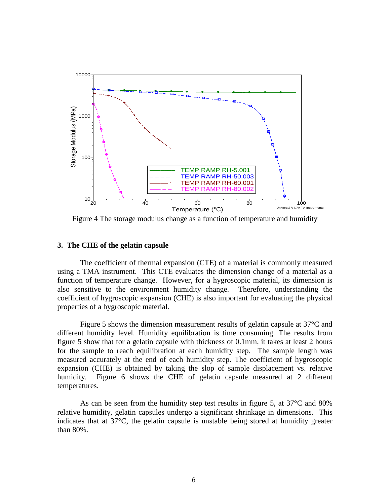

Figure 4 The storage modulus change as a function of temperature and humidity

#### **3. The CHE of the gelatin capsule**

The coefficient of thermal expansion (CTE) of a material is commonly measured using a TMA instrument. This CTE evaluates the dimension change of a material as a function of temperature change. However, for a hygroscopic material, its dimension is also sensitive to the environment humidity change. Therefore, understanding the coefficient of hygroscopic expansion (CHE) is also important for evaluating the physical properties of a hygroscopic material.

Figure 5 shows the dimension measurement results of gelatin capsule at 37°C and different humidity level. Humidity equilibration is time consuming. The results from figure 5 show that for a gelatin capsule with thickness of 0.1mm, it takes at least 2 hours for the sample to reach equilibration at each humidity step. The sample length was measured accurately at the end of each humidity step. The coefficient of hygroscopic expansion (CHE) is obtained by taking the slop of sample displacement vs. relative humidity. Figure 6 shows the CHE of gelatin capsule measured at 2 different temperatures.

As can be seen from the humidity step test results in figure 5, at 37°C and 80% relative humidity, gelatin capsules undergo a significant shrinkage in dimensions. This indicates that at  $37^{\circ}$ C, the gelatin capsule is unstable being stored at humidity greater than 80%.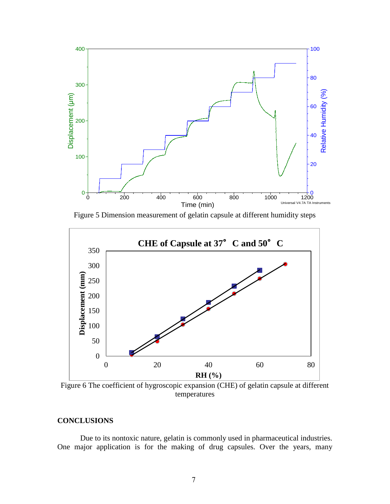

Figure 5 Dimension measurement of gelatin capsule at different humidity steps



Figure 6 The coefficient of hygroscopic expansion (CHE) of gelatin capsule at different temperatures

# **CONCLUSIONS**

Due to its nontoxic nature, gelatin is commonly used in pharmaceutical industries. One major application is for the making of drug capsules. Over the years, many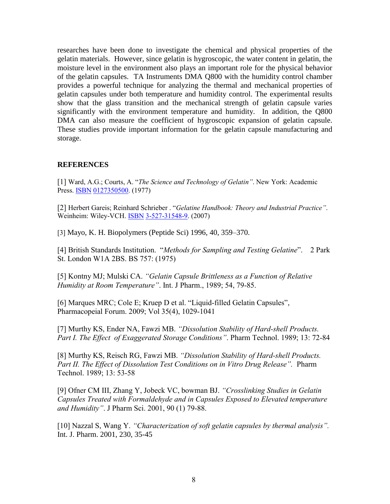researches have been done to investigate the chemical and physical properties of the gelatin materials. However, since gelatin is hygroscopic, the water content in gelatin, the moisture level in the environment also plays an important role for the physical behavior of the gelatin capsules. TA Instruments DMA Q800 with the humidity control chamber provides a powerful technique for analyzing the thermal and mechanical properties of gelatin capsules under both temperature and humidity control. The experimental results show that the glass transition and the mechanical strength of gelatin capsule varies significantly with the environment temperature and humidity. In addition, the Q800 DMA can also measure the coefficient of hygroscopic expansion of gelatin capsule. These studies provide important information for the gelatin capsule manufacturing and storage.

## **REFERENCES**

[1] Ward, A.G.; Courts, A. "*The Science and Technology of Gelatin"*. New York: Academic Press[. ISBN](http://en.wikipedia.org/wiki/International_Standard_Book_Number) [0127350500.](http://en.wikipedia.org/wiki/Special:BookSources/0127350500) (1977)

[2] Herbert Gareis; Reinhard Schrieber . "*Gelatine Handbook: Theory and Industrial Practice"*. Weinheim: Wiley-VCH. [ISBN](http://en.wikipedia.org/wiki/International_Standard_Book_Number) [3-527-31548-9.](http://en.wikipedia.org/wiki/Special:BookSources/3-527-31548-9) (2007)

[3] Mayo, K. H. Biopolymers (Peptide Sci) 1996, 40, 359–370.

[4] British Standards Institution. "*Methods for Sampling and Testing Gelatine*". 2 Park St. London W1A 2BS. BS 757: (1975)

[5] Kontny MJ; Mulski CA. *"Gelatin Capsule Brittleness as a Function of Relative Humidity at Room Temperature"*. Int. J Pharm., 1989; 54, 79-85.

[6] Marques MRC; Cole E; Kruep D et al. "Liquid-filled Gelatin Capsules", Pharmacopeial Forum. 2009; Vol 35(4), 1029-1041

[7] Murthy KS, Ender NA, Fawzi MB. *"Dissolution Stability of Hard-shell Products. Part I. The Effect of Exaggerated Storage Conditions"*. Pharm Technol. 1989; 13: 72-84

[8] Murthy KS, Reisch RG, Fawzi MB. *"Dissolution Stability of Hard-shell Products. Part II. The Effect of Dissolution Test Conditions on in Vitro Drug Release".* Pharm Technol. 1989; 13: 53-58

[9] Ofner CM III, Zhang Y, Jobeck VC, bowman BJ. *"Crosslinking Studies in Gelatin Capsules Treated with Formaldehyde and in Capsules Exposed to Elevated temperature and Humidity"*. J Pharm Sci. 2001, 90 (1) 79-88.

[10] Nazzal S, Wang Y. *"Characterization of soft gelatin capsules by thermal analysis".* Int. J. Pharm. 2001, 230, 35-45